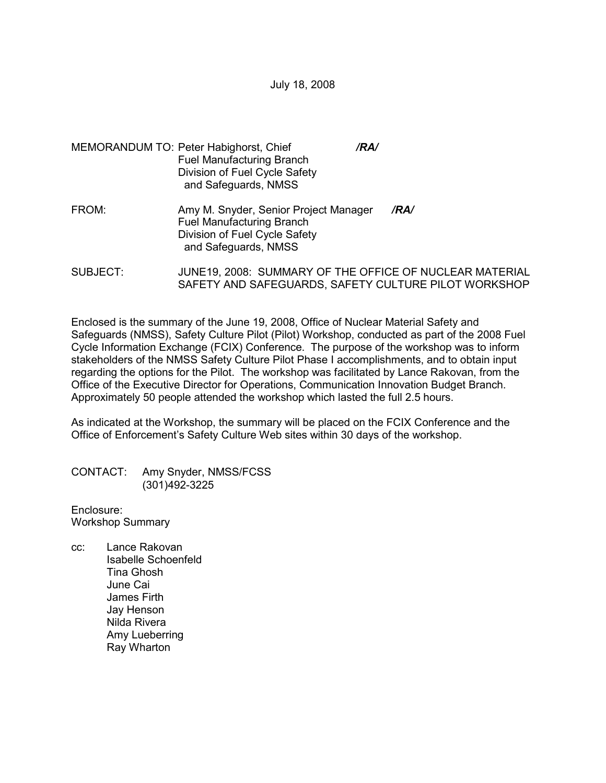July 18, 2008

- MEMORANDUM TO: Peter Habighorst, Chief */RA/*  Fuel Manufacturing Branch Division of Fuel Cycle Safety and Safeguards, NMSS
- FROM: Amy M. Snyder, Senior Project Manager */RA/* Fuel Manufacturing Branch Division of Fuel Cycle Safety and Safeguards, NMSS
- SUBJECT: JUNE19, 2008: SUMMARY OF THE OFFICE OF NUCLEAR MATERIAL SAFETY AND SAFEGUARDS, SAFETY CULTURE PILOT WORKSHOP

Enclosed is the summary of the June 19, 2008, Office of Nuclear Material Safety and Safeguards (NMSS), Safety Culture Pilot (Pilot) Workshop, conducted as part of the 2008 Fuel Cycle Information Exchange (FCIX) Conference. The purpose of the workshop was to inform stakeholders of the NMSS Safety Culture Pilot Phase I accomplishments, and to obtain input regarding the options for the Pilot. The workshop was facilitated by Lance Rakovan, from the Office of the Executive Director for Operations, Communication Innovation Budget Branch. Approximately 50 people attended the workshop which lasted the full 2.5 hours.

As indicated at the Workshop, the summary will be placed on the FCIX Conference and the Office of Enforcement's Safety Culture Web sites within 30 days of the workshop.

CONTACT: Amy Snyder, NMSS/FCSS (301)492-3225

Enclosure: Workshop Summary

cc: Lance Rakovan Isabelle Schoenfeld Tina Ghosh June Cai James Firth Jay Henson Nilda Rivera Amy Lueberring Ray Wharton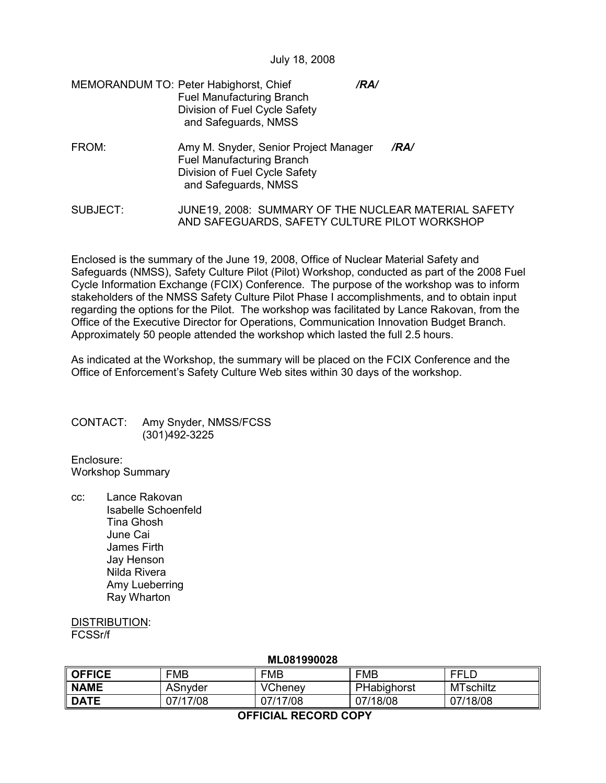July 18, 2008

| MEMORANDUM TO: Peter Habighorst, Chief | /RA/ |
|----------------------------------------|------|
| <b>Fuel Manufacturing Branch</b>       |      |
| Division of Fuel Cycle Safety          |      |
| and Safeguards, NMSS                   |      |

- FROM: Amy M. Snyder, Senior Project Manager */RA/* Fuel Manufacturing Branch Division of Fuel Cycle Safety and Safeguards, NMSS
- SUBJECT: JUNE19, 2008: SUMMARY OF THE NUCLEAR MATERIAL SAFETY AND SAFEGUARDS, SAFETY CULTURE PILOT WORKSHOP

Enclosed is the summary of the June 19, 2008, Office of Nuclear Material Safety and Safeguards (NMSS), Safety Culture Pilot (Pilot) Workshop, conducted as part of the 2008 Fuel Cycle Information Exchange (FCIX) Conference. The purpose of the workshop was to inform stakeholders of the NMSS Safety Culture Pilot Phase I accomplishments, and to obtain input regarding the options for the Pilot. The workshop was facilitated by Lance Rakovan, from the Office of the Executive Director for Operations, Communication Innovation Budget Branch. Approximately 50 people attended the workshop which lasted the full 2.5 hours.

As indicated at the Workshop, the summary will be placed on the FCIX Conference and the Office of Enforcement's Safety Culture Web sites within 30 days of the workshop.

## CONTACT: Amy Snyder, NMSS/FCSS (301)492-3225

Enclosure: Workshop Summary

cc: Lance Rakovan Isabelle Schoenfeld Tina Ghosh June Cai James Firth Jay Henson Nilda Rivera Amy Lueberring Ray Wharton

## DISTRIBUTION: FCSSr/f

| IVILUU 1 <i>33</i> UUZU |          |                |             |           |  |
|-------------------------|----------|----------------|-------------|-----------|--|
| <b>OFFICE</b>           | FMB      | <b>FMB</b>     | <b>FMB</b>  | FFLD      |  |
| <b>NAME</b>             | ASnyder  | <b>VCheney</b> | PHabighorst | MTschiltz |  |
| <b>DATE</b>             | 07/17/08 | 07/17/08       | 07/18/08    | 07/18/08  |  |
|                         |          |                |             |           |  |

## **ML081990028**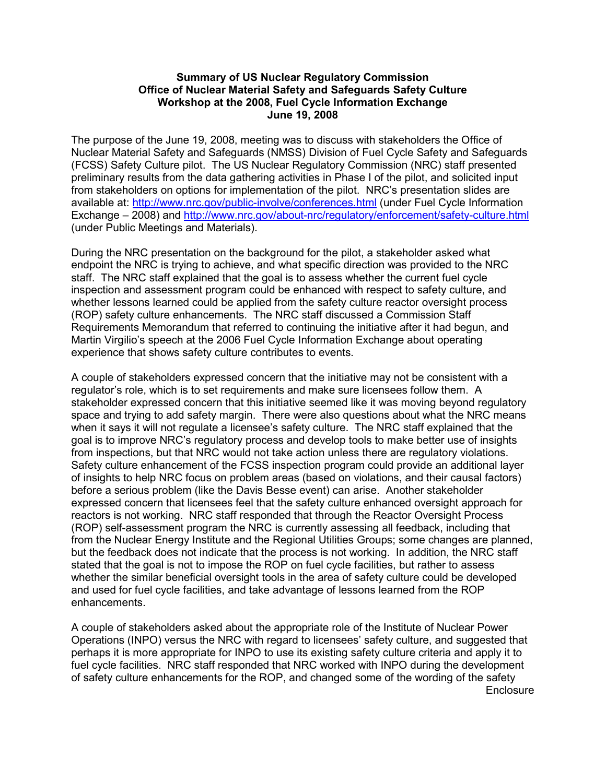## **Summary of US Nuclear Regulatory Commission Office of Nuclear Material Safety and Safeguards Safety Culture Workshop at the 2008, Fuel Cycle Information Exchange June 19, 2008**

The purpose of the June 19, 2008, meeting was to discuss with stakeholders the Office of Nuclear Material Safety and Safeguards (NMSS) Division of Fuel Cycle Safety and Safeguards (FCSS) Safety Culture pilot. The US Nuclear Regulatory Commission (NRC) staff presented preliminary results from the data gathering activities in Phase I of the pilot, and solicited input from stakeholders on options for implementation of the pilot. NRC's presentation slides are available at: http://www.nrc.gov/public-involve/conferences.html (under Fuel Cycle Information Exchange – 2008) and http://www.nrc.gov/about-nrc/regulatory/enforcement/safety-culture.html (under Public Meetings and Materials).

During the NRC presentation on the background for the pilot, a stakeholder asked what endpoint the NRC is trying to achieve, and what specific direction was provided to the NRC staff. The NRC staff explained that the goal is to assess whether the current fuel cycle inspection and assessment program could be enhanced with respect to safety culture, and whether lessons learned could be applied from the safety culture reactor oversight process (ROP) safety culture enhancements. The NRC staff discussed a Commission Staff Requirements Memorandum that referred to continuing the initiative after it had begun, and Martin Virgilio's speech at the 2006 Fuel Cycle Information Exchange about operating experience that shows safety culture contributes to events.

A couple of stakeholders expressed concern that the initiative may not be consistent with a regulator's role, which is to set requirements and make sure licensees follow them. A stakeholder expressed concern that this initiative seemed like it was moving beyond regulatory space and trying to add safety margin. There were also questions about what the NRC means when it says it will not regulate a licensee's safety culture. The NRC staff explained that the goal is to improve NRC's regulatory process and develop tools to make better use of insights from inspections, but that NRC would not take action unless there are regulatory violations. Safety culture enhancement of the FCSS inspection program could provide an additional layer of insights to help NRC focus on problem areas (based on violations, and their causal factors) before a serious problem (like the Davis Besse event) can arise. Another stakeholder expressed concern that licensees feel that the safety culture enhanced oversight approach for reactors is not working. NRC staff responded that through the Reactor Oversight Process (ROP) self-assessment program the NRC is currently assessing all feedback, including that from the Nuclear Energy Institute and the Regional Utilities Groups; some changes are planned, but the feedback does not indicate that the process is not working. In addition, the NRC staff stated that the goal is not to impose the ROP on fuel cycle facilities, but rather to assess whether the similar beneficial oversight tools in the area of safety culture could be developed and used for fuel cycle facilities, and take advantage of lessons learned from the ROP enhancements.

A couple of stakeholders asked about the appropriate role of the Institute of Nuclear Power Operations (INPO) versus the NRC with regard to licensees' safety culture, and suggested that perhaps it is more appropriate for INPO to use its existing safety culture criteria and apply it to fuel cycle facilities. NRC staff responded that NRC worked with INPO during the development of safety culture enhancements for the ROP, and changed some of the wording of the safety **Enclosure**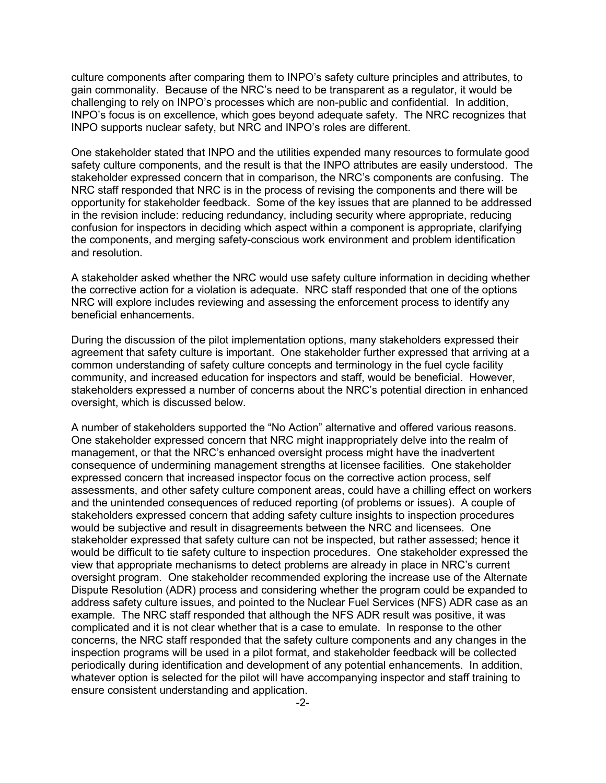culture components after comparing them to INPO's safety culture principles and attributes, to gain commonality. Because of the NRC's need to be transparent as a regulator, it would be challenging to rely on INPO's processes which are non-public and confidential. In addition, INPO's focus is on excellence, which goes beyond adequate safety. The NRC recognizes that INPO supports nuclear safety, but NRC and INPO's roles are different.

One stakeholder stated that INPO and the utilities expended many resources to formulate good safety culture components, and the result is that the INPO attributes are easily understood. The stakeholder expressed concern that in comparison, the NRC's components are confusing. The NRC staff responded that NRC is in the process of revising the components and there will be opportunity for stakeholder feedback. Some of the key issues that are planned to be addressed in the revision include: reducing redundancy, including security where appropriate, reducing confusion for inspectors in deciding which aspect within a component is appropriate, clarifying the components, and merging safety-conscious work environment and problem identification and resolution.

A stakeholder asked whether the NRC would use safety culture information in deciding whether the corrective action for a violation is adequate. NRC staff responded that one of the options NRC will explore includes reviewing and assessing the enforcement process to identify any beneficial enhancements.

During the discussion of the pilot implementation options, many stakeholders expressed their agreement that safety culture is important. One stakeholder further expressed that arriving at a common understanding of safety culture concepts and terminology in the fuel cycle facility community, and increased education for inspectors and staff, would be beneficial. However, stakeholders expressed a number of concerns about the NRC's potential direction in enhanced oversight, which is discussed below.

A number of stakeholders supported the "No Action" alternative and offered various reasons. One stakeholder expressed concern that NRC might inappropriately delve into the realm of management, or that the NRC's enhanced oversight process might have the inadvertent consequence of undermining management strengths at licensee facilities. One stakeholder expressed concern that increased inspector focus on the corrective action process, self assessments, and other safety culture component areas, could have a chilling effect on workers and the unintended consequences of reduced reporting (of problems or issues). A couple of stakeholders expressed concern that adding safety culture insights to inspection procedures would be subjective and result in disagreements between the NRC and licensees. One stakeholder expressed that safety culture can not be inspected, but rather assessed; hence it would be difficult to tie safety culture to inspection procedures. One stakeholder expressed the view that appropriate mechanisms to detect problems are already in place in NRC's current oversight program. One stakeholder recommended exploring the increase use of the Alternate Dispute Resolution (ADR) process and considering whether the program could be expanded to address safety culture issues, and pointed to the Nuclear Fuel Services (NFS) ADR case as an example. The NRC staff responded that although the NFS ADR result was positive, it was complicated and it is not clear whether that is a case to emulate. In response to the other concerns, the NRC staff responded that the safety culture components and any changes in the inspection programs will be used in a pilot format, and stakeholder feedback will be collected periodically during identification and development of any potential enhancements. In addition, whatever option is selected for the pilot will have accompanying inspector and staff training to ensure consistent understanding and application.